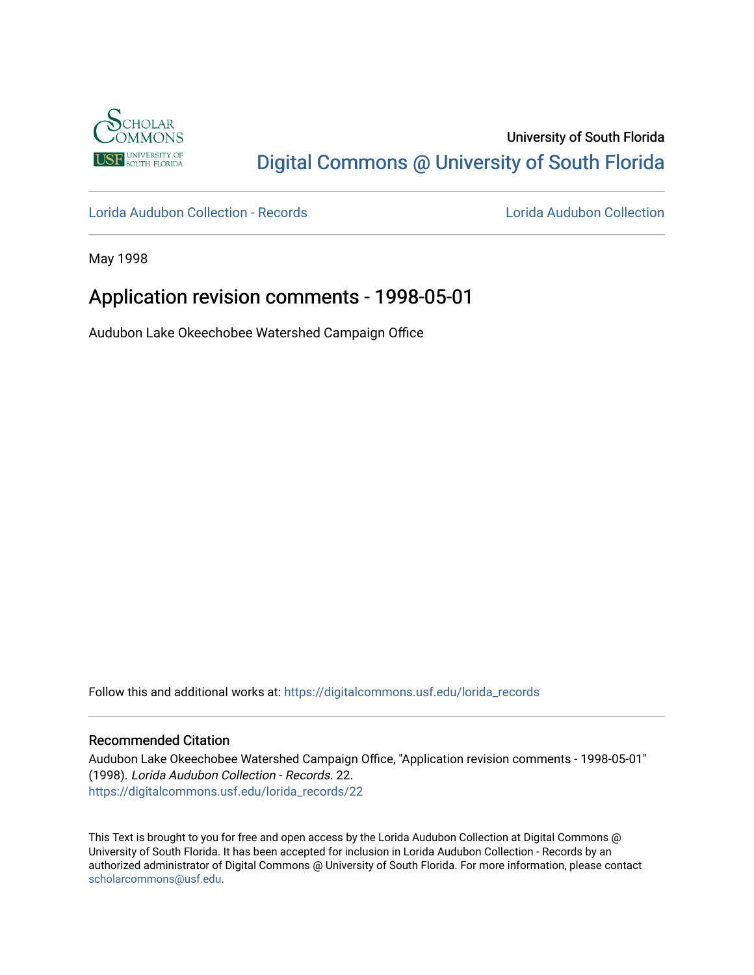

# University of South Florida [Digital Commons @ University of South Florida](https://digitalcommons.usf.edu/)

[Lorida Audubon Collection - Records](https://digitalcommons.usf.edu/lorida_records) [Lorida Audubon Collection](https://digitalcommons.usf.edu/lorida) 

May 1998

## Application revision comments - 1998-05-01

Audubon Lake Okeechobee Watershed Campaign Office

Follow this and additional works at: [https://digitalcommons.usf.edu/lorida\\_records](https://digitalcommons.usf.edu/lorida_records?utm_source=digitalcommons.usf.edu%2Florida_records%2F22&utm_medium=PDF&utm_campaign=PDFCoverPages)

### Recommended Citation

Audubon Lake Okeechobee Watershed Campaign Office, "Application revision comments - 1998-05-01" (1998). Lorida Audubon Collection - Records. 22. [https://digitalcommons.usf.edu/lorida\\_records/22](https://digitalcommons.usf.edu/lorida_records/22?utm_source=digitalcommons.usf.edu%2Florida_records%2F22&utm_medium=PDF&utm_campaign=PDFCoverPages) 

This Text is brought to you for free and open access by the Lorida Audubon Collection at Digital Commons @ University of South Florida. It has been accepted for inclusion in Lorida Audubon Collection - Records by an authorized administrator of Digital Commons @ University of South Florida. For more information, please contact [scholarcommons@usf.edu.](mailto:scholarcommons@usf.edu)